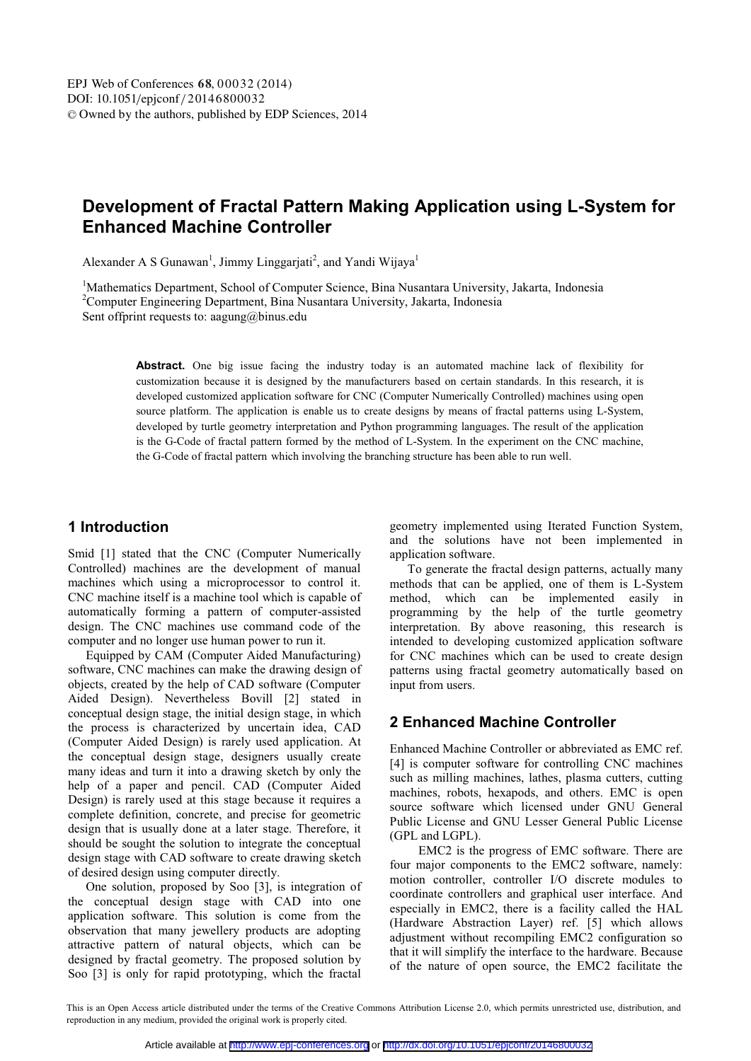# **Development of Fractal Pattern Making Application using L-System for Enhanced Machine Controller**

Alexander A S Gunawan<sup>1</sup>, Jimmy Linggarjati<sup>2</sup>, and Yandi Wijaya<sup>1</sup>

<sup>1</sup>Mathematics Department, School of Computer Science, Bina Nusantara University, Jakarta, Indonesia<br><sup>2</sup>Computer Engineering Department, Bina Nusantara University, Jakarta, Indonesia <sup>2</sup>Computer Engineering Department, Bina Nusantara University, Jakarta, Indonesia Sent offprint requests to: aagung@binus.edu

> Abstract. One big issue facing the industry today is an automated machine lack of flexibility for customization because it is designed by the manufacturers based on certain standards. In this research, it is developed customized application software for CNC (Computer Numerically Controlled) machines using open source platform. The application is enable us to create designs by means of fractal patterns using L-System, developed by turtle geometry interpretation and Python programming languages. The result of the application is the G-Code of fractal pattern formed by the method of L-System. In the experiment on the CNC machine, the G-Code of fractal pattern which involving the branching structure has been able to run well.

### **1 Introduction**

Smid [1] stated that the CNC (Computer Numerically Controlled) machines are the development of manual machines which using a microprocessor to control it. CNC machine itself is a machine tool which is capable of automatically forming a pattern of computer-assisted design. The CNC machines use command code of the computer and no longer use human power to run it.

Equipped by CAM (Computer Aided Manufacturing) software, CNC machines can make the drawing design of objects, created by the help of CAD software (Computer Aided Design). Nevertheless Bovill [2] stated in conceptual design stage, the initial design stage, in which the process is characterized by uncertain idea, CAD (Computer Aided Design) is rarely used application. At the conceptual design stage, designers usually create many ideas and turn it into a drawing sketch by only the help of a paper and pencil. CAD (Computer Aided Design) is rarely used at this stage because it requires a complete definition, concrete, and precise for geometric design that is usually done at a later stage. Therefore, it should be sought the solution to integrate the conceptual design stage with CAD software to create drawing sketch of desired design using computer directly.

One solution, proposed by Soo [3], is integration of the conceptual design stage with CAD into one application software. This solution is come from the observation that many jewellery products are adopting attractive pattern of natural objects, which can be designed by fractal geometry. The proposed solution by Soo [3] is only for rapid prototyping, which the fractal

geometry implemented using Iterated Function System, and the solutions have not been implemented in application software.

To generate the fractal design patterns, actually many methods that can be applied, one of them is L-System method, which can be implemented easily in programming by the help of the turtle geometry interpretation. By above reasoning, this research is intended to developing customized application software for CNC machines which can be used to create design patterns using fractal geometry automatically based on input from users.

## **2 Enhanced Machine Controller**

Enhanced Machine Controller or abbreviated as EMC ref. [4] is computer software for controlling CNC machines such as milling machines, lathes, plasma cutters, cutting machines, robots, hexapods, and others. EMC is open source software which licensed under GNU General Public License and GNU Lesser General Public License (GPL and LGPL).

EMC2 is the progress of EMC software. There are four major components to the EMC2 software, namely: motion controller, controller I/O discrete modules to coordinate controllers and graphical user interface. And especially in EMC2, there is a facility called the HAL (Hardware Abstraction Layer) ref. [5] which allows adjustment without recompiling EMC2 configuration so that it will simplify the interface to the hardware. Because of the nature of open source, the EMC2 facilitate the

This is an Open Access article distributed under the terms of the Creative Commons Attribution License 2.0, which permits unrestricted use, distribution, and reproduction in any medium, provided the original work is properly cited.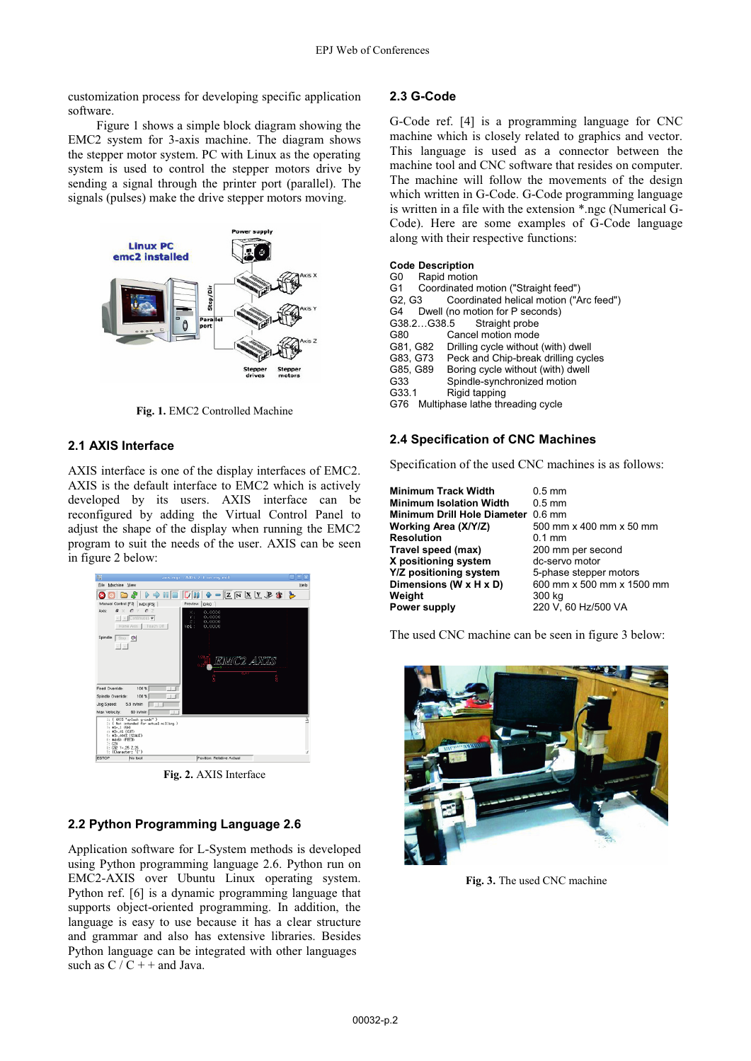customization process for developing specific application software.

Figure 1 shows a simple block diagram showing the EMC2 system for 3-axis machine. The diagram shows the stepper motor system. PC with Linux as the operating system is used to control the stepper motors drive by sending a signal through the printer port (parallel). The signals (pulses) make the drive stepper motors moving.



**Fig. 1.** EMC2 Controlled Machine

#### **2.1 AXIS Interface**

AXIS interface is one of the display interfaces of EMC2. AXIS is the default interface to EMC2 which is actively developed by its users. AXIS interface can be reconfigured by adding the Virtual Control Panel to adjust the shape of the display when running the EMC2 program to suit the needs of the user. AXIS can be seen in figure 2 below:



**Fig. 2.** AXIS Interface

### **2.2 Python Programming Language 2.6**

Application software for L-System methods is developed using Python programming language 2.6. Python run on EMC2-AXIS over Ubuntu Linux operating system. Python ref. [6] is a dynamic programming language that supports object-oriented programming. In addition, the language is easy to use because it has a clear structure and grammar and also has extensive libraries. Besides Python language can be integrated with other languages such as  $C / C$  + + and Java.

#### **2.3 G-Code**

G-Code ref. [4] is a programming language for CNC machine which is closely related to graphics and vector. This language is used as a connector between the machine tool and CNC software that resides on computer. The machine will follow the movements of the design which written in G-Code. G-Code programming language is written in a file with the extension \*.ngc (Numerical G-Code). Here are some examples of G-Code language along with their respective functions:

### **Code Description**

| G0.      | Rapid motion                            |
|----------|-----------------------------------------|
| G1 -     | Coordinated motion ("Straight feed")    |
| G2. G3   | Coordinated helical motion ("Arc feed") |
| G4       | Dwell (no motion for P seconds)         |
|          | G38.2G38.5 Straight probe               |
| G80      | Cancel motion mode                      |
| G81. G82 | Drilling cycle without (with) dwell     |
| G83, G73 | Peck and Chip-break drilling cycles     |
| G85, G89 | Boring cycle without (with) dwell       |
| G33      | Spindle-synchronized motion             |
| G33.1    | Rigid tapping                           |
| G76      | Multiphase lathe threading cycle        |
|          |                                         |

### **2.4 Specification of CNC Machines**

Specification of the used CNC machines is as follows:

| <b>Minimum Track Width</b>         | $0.5 \text{ mm}$          |
|------------------------------------|---------------------------|
| <b>Minimum Isolation Width</b>     | $0.5 \text{ mm}$          |
| Minimum Drill Hole Diameter 0.6 mm |                           |
| Working Area (X/Y/Z)               | 500 mm x 400 mm x 50 mm   |
| <b>Resolution</b>                  | $0.1 \text{ mm}$          |
| Travel speed (max)                 | 200 mm per second         |
| X positioning system               | dc-servo motor            |
| Y/Z positioning system             | 5-phase stepper motors    |
| Dimensions (W x H x D)             | 600 mm x 500 mm x 1500 mm |
| Weight                             | 300 kg                    |
| Power supply                       | 220 V, 60 Hz/500 VA       |

The used CNC machine can be seen in figure 3 below:



**Fig. 3.** The used CNC machine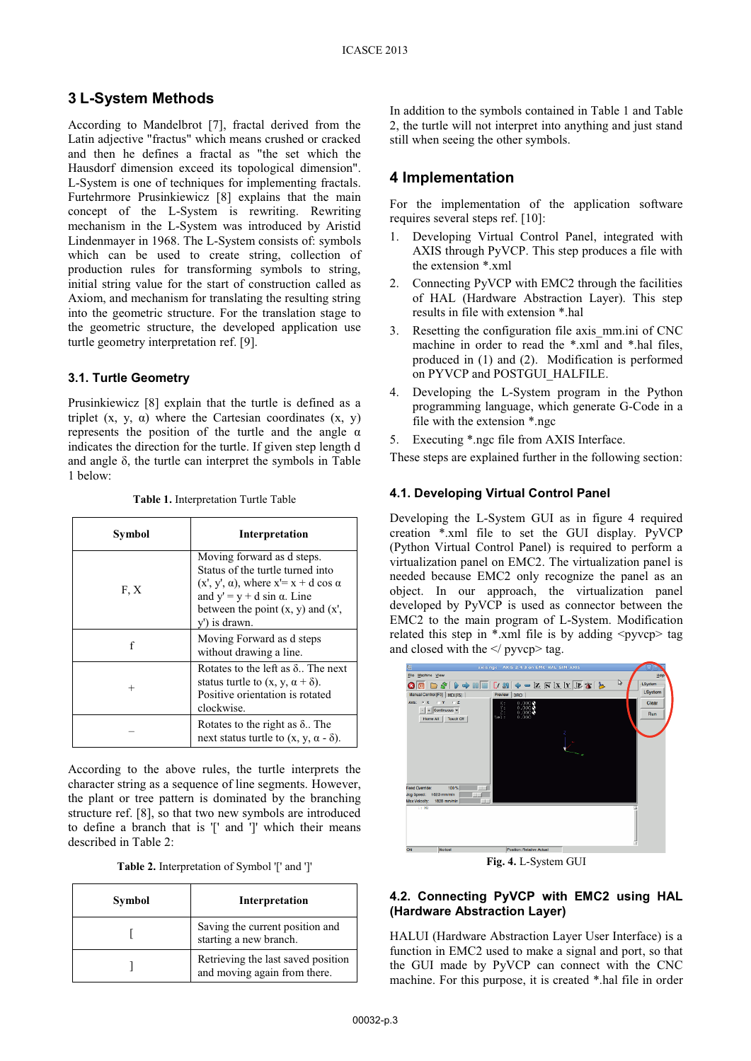# **3 L-System Methods**

According to Mandelbrot [7], fractal derived from the Latin adjective "fractus" which means crushed or cracked and then he defines a fractal as "the set which the Hausdorf dimension exceed its topological dimension". L-System is one of techniques for implementing fractals. Furtehrmore Prusinkiewicz [8] explains that the main concept of the L-System is rewriting. Rewriting mechanism in the L-System was introduced by Aristid Lindenmayer in 1968. The L-System consists of: symbols which can be used to create string, collection of production rules for transforming symbols to string, initial string value for the start of construction called as Axiom, and mechanism for translating the resulting string into the geometric structure. For the translation stage to the geometric structure, the developed application use turtle geometry interpretation ref. [9].

### **3.1. Turtle Geometry**

Prusinkiewicz [8] explain that the turtle is defined as a triplet  $(x, y, \alpha)$  where the Cartesian coordinates  $(x, y)$ represents the position of the turtle and the angle  $\alpha$ indicates the direction for the turtle. If given step length d and angle δ, the turtle can interpret the symbols in Table 1 below:

| <b>Symbol</b> | Interpretation                                                                                                                                                                                                     |
|---------------|--------------------------------------------------------------------------------------------------------------------------------------------------------------------------------------------------------------------|
| F, X          | Moving forward as d steps.<br>Status of the turtle turned into<br>$(x', y', \alpha)$ , where $x'=x+d \cos \alpha$<br>and $y' = y + d \sin \alpha$ . Line<br>between the point $(x, y)$ and $(x',$<br>y') is drawn. |
| f             | Moving Forward as d steps<br>without drawing a line.                                                                                                                                                               |
| +             | Rotates to the left as $\delta$ . The next<br>status turtle to $(x, y, \alpha + \delta)$ .<br>Positive orientation is rotated<br>clockwise.                                                                        |
|               | Rotates to the right as $\delta$ The<br>next status turtle to $(x, y, \alpha - \delta)$ .                                                                                                                          |

**Table 1.** Interpretation Turtle Table

According to the above rules, the turtle interprets the character string as a sequence of line segments. However, the plant or tree pattern is dominated by the branching structure ref. [8], so that two new symbols are introduced to define a branch that is '[' and ']' which their means described in Table 2:

| <b>Table 2.</b> Interpretation of Symbol '[' and ']' |  |
|------------------------------------------------------|--|
|------------------------------------------------------|--|

| Symbol | Interpretation                                                     |
|--------|--------------------------------------------------------------------|
|        | Saving the current position and<br>starting a new branch.          |
|        | Retrieving the last saved position<br>and moving again from there. |

In addition to the symbols contained in Table 1 and Table 2, the turtle will not interpret into anything and just stand still when seeing the other symbols.

# **4 Implementation**

For the implementation of the application software requires several steps ref. [10]:

- 1. Developing Virtual Control Panel, integrated with AXIS through PyVCP. This step produces a file with the extension \*.xml
- 2. Connecting PyVCP with EMC2 through the facilities of HAL (Hardware Abstraction Layer). This step results in file with extension \*.hal
- 3. Resetting the configuration file axis\_mm.ini of CNC machine in order to read the \*.xml and \*.hal files, produced in (1) and (2). Modification is performed on PYVCP and POSTGUI\_HALFILE.
- 4. Developing the L-System program in the Python programming language, which generate G-Code in a file with the extension \*.ngc
- 5. Executing \*.ngc file from AXIS Interface.

These steps are explained further in the following section:

### **4.1. Developing Virtual Control Panel**

Developing the L-System GUI as in figure 4 required creation \*.xml file to set the GUI display. PyVCP (Python Virtual Control Panel) is required to perform a virtualization panel on EMC2. The virtualization panel is needed because EMC2 only recognize the panel as an object. In our approach, the virtualization panel developed by PyVCP is used as connector between the EMC2 to the main program of L-System. Modification related this step in  $*$ .xml file is by adding  $<$ pyvcp $>$  tag and closed with the  $\langle$  pyvcp $>$  tag.



**Fig. 4.** L-System GUI

### **4.2. Connecting PyVCP with EMC2 using HAL (Hardware Abstraction Layer)**

HALUI (Hardware Abstraction Layer User Interface) is a function in EMC2 used to make a signal and port, so that the GUI made by PyVCP can connect with the CNC machine. For this purpose, it is created \*.hal file in order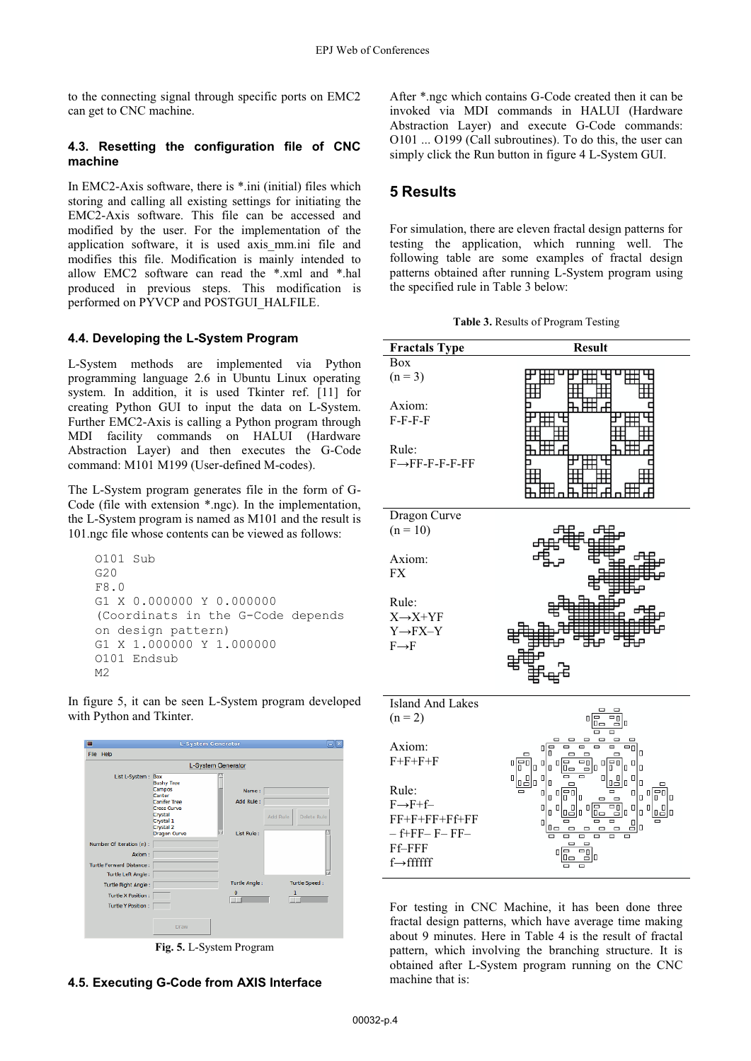to the connecting signal through specific ports on EMC2 can get to CNC machine.

### **4.3. Resetting the configuration file of CNC machine**

In EMC2-Axis software, there is \*.ini (initial) files which storing and calling all existing settings for initiating the EMC2-Axis software. This file can be accessed and modified by the user. For the implementation of the application software, it is used axis\_mm.ini file and modifies this file. Modification is mainly intended to allow EMC2 software can read the \*.xml and \*.hal produced in previous steps. This modification is performed on PYVCP and POSTGUI\_HALFILE.

### **4.4. Developing the L-System Program**

L-System methods are implemented via Python programming language 2.6 in Ubuntu Linux operating system. In addition, it is used Tkinter ref. [11] for creating Python GUI to input the data on L-System. Further EMC2-Axis is calling a Python program through MDI facility commands on HALUI (Hardware Abstraction Layer) and then executes the G-Code command: M101 M199 (User-defined M-codes).

The L-System program generates file in the form of G-Code (file with extension \*.ngc). In the implementation, the L-System program is named as M101 and the result is 101.ngc file whose contents can be viewed as follows:

```
O101 Sub 
G20 
F8.0 
G1 X 0.000000 Y 0.000000 
(Coordinats in the G-Code depends 
on design pattern) 
G1 X 1.000000 Y 1.000000 
O101 Endsub 
M<sub>2</sub>
```
In figure 5, it can be seen L-System program developed with Python and Tkinter.



**Fig. 5.** L-System Program

# **4.5. Executing G-Code from AXIS Interface**

After \*.ngc which contains G-Code created then it can be invoked via MDI commands in HALUI (Hardware Abstraction Layer) and execute G-Code commands: O101 ... O199 (Call subroutines). To do this, the user can simply click the Run button in figure 4 L-System GUI.

# **5 Results**

For simulation, there are eleven fractal design patterns for testing the application, which running well. The following table are some examples of fractal design patterns obtained after running L-System program using the specified rule in Table 3 below:

**Table 3.** Results of Program Testing

| <b>Fractals Type</b>                                                                                                                                       | <b>Result</b>                                                                                                                   |
|------------------------------------------------------------------------------------------------------------------------------------------------------------|---------------------------------------------------------------------------------------------------------------------------------|
| Box<br>$(n = 3)$<br>Axiom:<br>$F-F-F-F$<br>Rule:<br>$F \rightarrow FF - F - F - F - FF$                                                                    |                                                                                                                                 |
| Dragon Curve<br>$(n = 10)$<br>Axiom:<br><b>FX</b><br>Rule:<br>$X \rightarrow X + YF$<br>$Y \rightarrow FX-Y$<br>$F \rightarrow F$                          |                                                                                                                                 |
| <b>Island And Lakes</b><br>$(n = 2)$<br>Axiom:<br>$F+F+F+F$<br>Rule:<br>$F \rightarrow F + f -$<br>FF+F+FF+Ff+FF<br>$-$ f+FF- F- FF-<br>Ff-FFF<br>f→ffffff | п<br>О<br>O<br>Ω<br>0<br>О<br>O<br>О<br>О<br>О<br>▭<br>D<br>О<br>О<br>n<br>Ω<br>п<br>О<br>D<br>0<br>О<br>D<br>O<br>⊔⇔<br>ᇹ<br>О |

For testing in CNC Machine, it has been done three fractal design patterns, which have average time making about 9 minutes. Here in Table 4 is the result of fractal pattern, which involving the branching structure. It is obtained after L-System program running on the CNC machine that is: